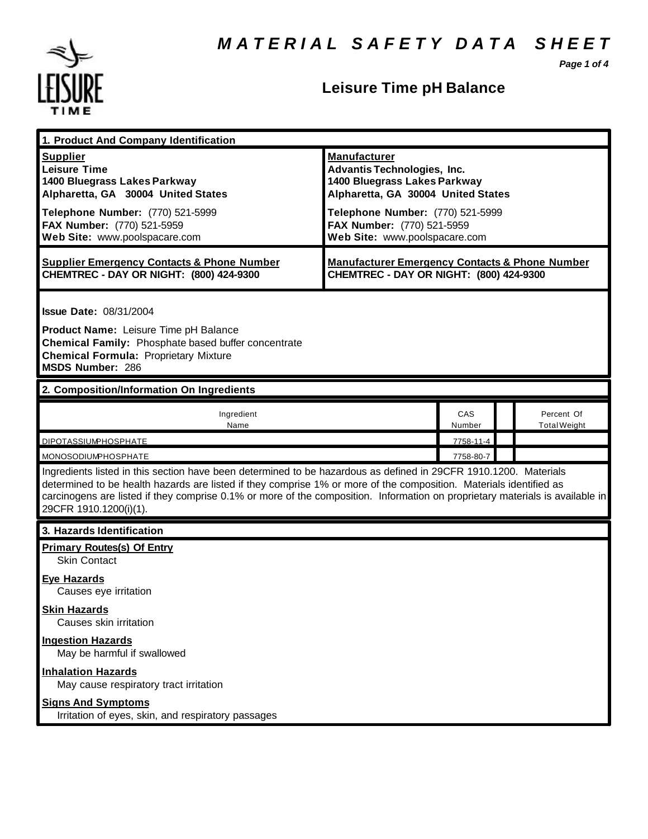*Page 1 of 4*



# **Leisure Time pH Balance**

| 1. Product And Company Identification                                                                                                                                                                                                                                                                                                                                                             |                                                                                                                                                                                                                                    |               |  |                                   |  |
|---------------------------------------------------------------------------------------------------------------------------------------------------------------------------------------------------------------------------------------------------------------------------------------------------------------------------------------------------------------------------------------------------|------------------------------------------------------------------------------------------------------------------------------------------------------------------------------------------------------------------------------------|---------------|--|-----------------------------------|--|
| <b>Supplier</b><br><b>Leisure Time</b><br>1400 Bluegrass Lakes Parkway<br>Alpharetta, GA 30004 United States<br>Telephone Number: (770) 521-5999<br>FAX Number: (770) 521-5959<br>Web Site: www.poolspacare.com                                                                                                                                                                                   | <b>Manufacturer</b><br><b>Advantis Technologies, Inc.</b><br>1400 Bluegrass Lakes Parkway<br>Alpharetta, GA 30004 United States<br>Telephone Number: (770) 521-5999<br>FAX Number: (770) 521-5959<br>Web Site: www.poolspacare.com |               |  |                                   |  |
| <b>Supplier Emergency Contacts &amp; Phone Number</b><br>CHEMTREC - DAY OR NIGHT: (800) 424-9300                                                                                                                                                                                                                                                                                                  | <b>Manufacturer Emergency Contacts &amp; Phone Number</b><br>CHEMTREC - DAY OR NIGHT: (800) 424-9300                                                                                                                               |               |  |                                   |  |
| <b>Issue Date: 08/31/2004</b><br>Product Name: Leisure Time pH Balance<br>Chemical Family: Phosphate based buffer concentrate<br><b>Chemical Formula: Proprietary Mixture</b><br><b>MSDS Number: 286</b>                                                                                                                                                                                          |                                                                                                                                                                                                                                    |               |  |                                   |  |
| 2. Composition/Information On Ingredients                                                                                                                                                                                                                                                                                                                                                         |                                                                                                                                                                                                                                    |               |  |                                   |  |
| Ingredient<br>Name                                                                                                                                                                                                                                                                                                                                                                                |                                                                                                                                                                                                                                    | CAS<br>Number |  | Percent Of<br><b>Total Weight</b> |  |
| <b>DIPOTASSIUMPHOSPHATE</b>                                                                                                                                                                                                                                                                                                                                                                       |                                                                                                                                                                                                                                    | 7758-11-4     |  |                                   |  |
| MONOSODIUMPHOSPHATE                                                                                                                                                                                                                                                                                                                                                                               |                                                                                                                                                                                                                                    | 7758-80-7     |  |                                   |  |
| Ingredients listed in this section have been determined to be hazardous as defined in 29CFR 1910.1200. Materials<br>determined to be health hazards are listed if they comprise 1% or more of the composition. Materials identified as<br>carcinogens are listed if they comprise 0.1% or more of the composition. Information on proprietary materials is available in<br>29CFR 1910.1200(i)(1). |                                                                                                                                                                                                                                    |               |  |                                   |  |
| 3. Hazards Identification                                                                                                                                                                                                                                                                                                                                                                         |                                                                                                                                                                                                                                    |               |  |                                   |  |
| <b>Primary Routes(s) Of Entry</b><br><b>Skin Contact</b><br><b>Eye Hazards</b>                                                                                                                                                                                                                                                                                                                    |                                                                                                                                                                                                                                    |               |  |                                   |  |
| Causes eye irritation                                                                                                                                                                                                                                                                                                                                                                             |                                                                                                                                                                                                                                    |               |  |                                   |  |
| <b>Skin Hazards</b><br>Causes skin irritation                                                                                                                                                                                                                                                                                                                                                     |                                                                                                                                                                                                                                    |               |  |                                   |  |
| <b>Ingestion Hazards</b><br>May be harmful if swallowed                                                                                                                                                                                                                                                                                                                                           |                                                                                                                                                                                                                                    |               |  |                                   |  |
| <b>Inhalation Hazards</b><br>May cause respiratory tract irritation                                                                                                                                                                                                                                                                                                                               |                                                                                                                                                                                                                                    |               |  |                                   |  |
| <b>Signs And Symptoms</b><br>Irritation of eyes, skin, and respiratory passages                                                                                                                                                                                                                                                                                                                   |                                                                                                                                                                                                                                    |               |  |                                   |  |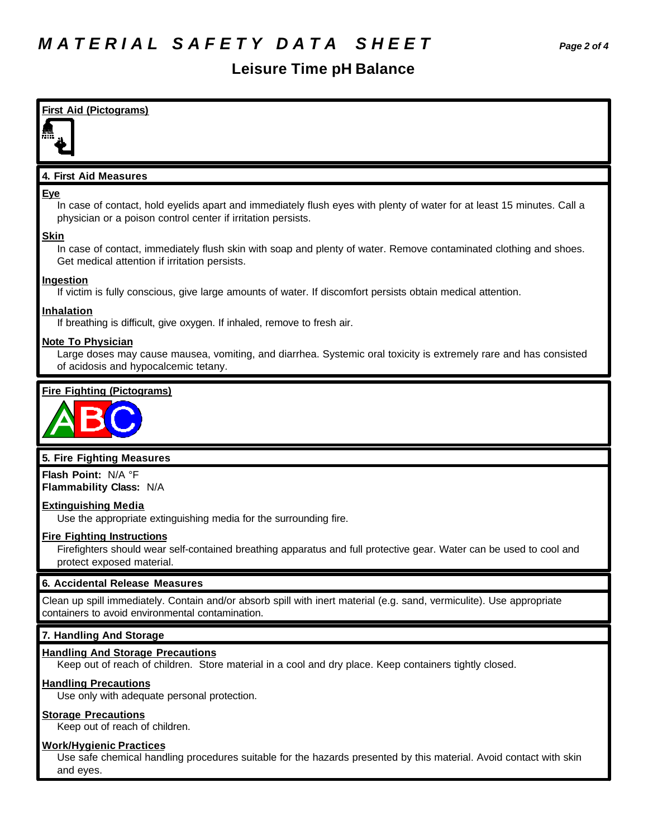### **Leisure Time pH Balance**



#### **5. Fire Fighting Measures**

**Flash Point:** N/A °F **Flammability Class:** N/A

#### **Extinguishing Media**

Use the appropriate extinguishing media for the surrounding fire.

#### **Fire Fighting Instructions**

Firefighters should wear self-contained breathing apparatus and full protective gear. Water can be used to cool and protect exposed material.

### **6. Accidental Release Measures**

Clean up spill immediately. Contain and/or absorb spill with inert material (e.g. sand, vermiculite). Use appropriate containers to avoid environmental contamination.

### **7. Handling And Storage**

### **Handling And Storage Precautions**

Keep out of reach of children. Store material in a cool and dry place. Keep containers tightly closed.

### **Handling Precautions**

Use only with adequate personal protection.

### **Storage Precautions**

Keep out of reach of children.

#### **Work/Hygienic Practices**

Use safe chemical handling procedures suitable for the hazards presented by this material. Avoid contact with skin and eyes.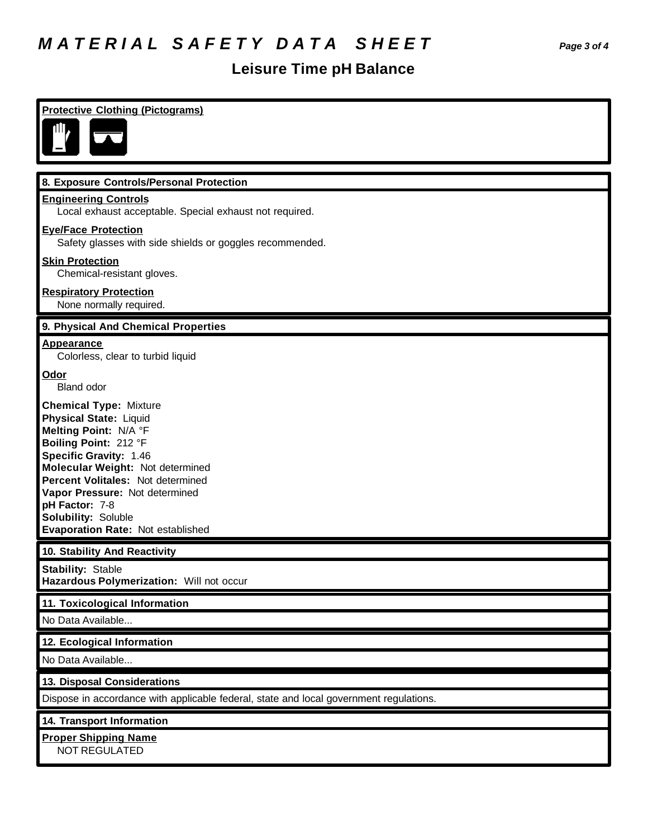# *M A T E R I A L S A F E T Y D A T A S H E E T Page 3 of 4*

# **Leisure Time pH Balance**

| <b>Protective Clothing (Pictograms)</b>                                                                                                                                                                                                                                                                                                    |
|--------------------------------------------------------------------------------------------------------------------------------------------------------------------------------------------------------------------------------------------------------------------------------------------------------------------------------------------|
| 8. Exposure Controls/Personal Protection                                                                                                                                                                                                                                                                                                   |
| <b>Engineering Controls</b><br>Local exhaust acceptable. Special exhaust not required.<br><b>Eye/Face Protection</b>                                                                                                                                                                                                                       |
| Safety glasses with side shields or goggles recommended.                                                                                                                                                                                                                                                                                   |
| <b>Skin Protection</b><br>Chemical-resistant gloves.                                                                                                                                                                                                                                                                                       |
| <b>Respiratory Protection</b><br>None normally required.                                                                                                                                                                                                                                                                                   |
| 9. Physical And Chemical Properties                                                                                                                                                                                                                                                                                                        |
| <b>Appearance</b><br>Colorless, clear to turbid liquid                                                                                                                                                                                                                                                                                     |
| Odor<br><b>Bland odor</b>                                                                                                                                                                                                                                                                                                                  |
| <b>Chemical Type: Mixture</b><br><b>Physical State: Liquid</b><br>Melting Point: N/A °F<br>Boiling Point: 212 °F<br><b>Specific Gravity: 1.46</b><br>Molecular Weight: Not determined<br>Percent Volitales: Not determined<br>Vapor Pressure: Not determined<br>pH Factor: 7-8<br>Solubility: Soluble<br>Evaporation Rate: Not established |
| 10. Stability And Reactivity                                                                                                                                                                                                                                                                                                               |
| <b>Stability: Stable</b><br>Hazardous Polymerization: Will not occur                                                                                                                                                                                                                                                                       |
| 11. Toxicological Information                                                                                                                                                                                                                                                                                                              |
| No Data Available                                                                                                                                                                                                                                                                                                                          |
| 12. Ecological Information                                                                                                                                                                                                                                                                                                                 |
| No Data Available                                                                                                                                                                                                                                                                                                                          |
| 13. Disposal Considerations                                                                                                                                                                                                                                                                                                                |
| Dispose in accordance with applicable federal, state and local government regulations.                                                                                                                                                                                                                                                     |
| 14. Transport Information                                                                                                                                                                                                                                                                                                                  |
| <b>Proper Shipping Name</b><br><b>NOT REGULATED</b>                                                                                                                                                                                                                                                                                        |